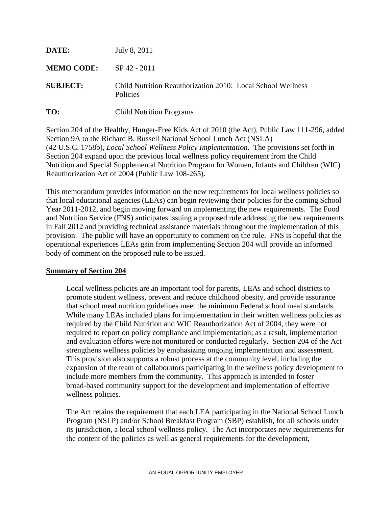| DATE:             | July 8, 2011                                                            |
|-------------------|-------------------------------------------------------------------------|
| <b>MEMO CODE:</b> | SP 42 - 2011                                                            |
| <b>SUBJECT:</b>   | Child Nutrition Reauthorization 2010: Local School Wellness<br>Policies |
| TO:               | <b>Child Nutrition Programs</b>                                         |

Section 204 of the Healthy, Hunger-Free Kids Act of 2010 (the Act), Public Law 111-296, added Section 9A to the Richard B. Russell National School Lunch Act (NSLA) (42 U.S.C. 1758b), *Local School Wellness Policy Implementation*. The provisions set forth in Section 204 expand upon the previous local wellness policy requirement from the Child Nutrition and Special Supplemental Nutrition Program for Women, Infants and Children (WIC) Reauthorization Act of 2004 (Public Law 108-265).

This memorandum provides information on the new requirements for local wellness policies so that local educational agencies (LEAs) can begin reviewing their policies for the coming School Year 2011-2012, and begin moving forward on implementing the new requirements. The Food and Nutrition Service (FNS) anticipates issuing a proposed rule addressing the new requirements in Fall 2012 and providing technical assistance materials throughout the implementation of this provision. The public will have an opportunity to comment on the rule. FNS is hopeful that the operational experiences LEAs gain from implementing Section 204 will provide an informed body of comment on the proposed rule to be issued.

#### **Summary of Section 204**

Local wellness policies are an important tool for parents, LEAs and school districts to promote student wellness, prevent and reduce childhood obesity, and provide assurance that school meal nutrition guidelines meet the minimum Federal school meal standards. While many LEAs included plans for implementation in their written wellness policies as required by the Child Nutrition and WIC Reauthorization Act of 2004, they were not required to report on policy compliance and implementation; as a result, implementation and evaluation efforts were not monitored or conducted regularly. Section 204 of the Act strengthens wellness policies by emphasizing ongoing implementation and assessment. This provision also supports a robust process at the community level, including the expansion of the team of collaborators participating in the wellness policy development to include more members from the community. This approach is intended to foster broad-based community support for the development and implementation of effective wellness policies.

The Act retains the requirement that each LEA participating in the National School Lunch Program (NSLP) and/or School Breakfast Program (SBP) establish, for all schools under its jurisdiction, a local school wellness policy. The Act incorporates new requirements for the content of the policies as well as general requirements for the development,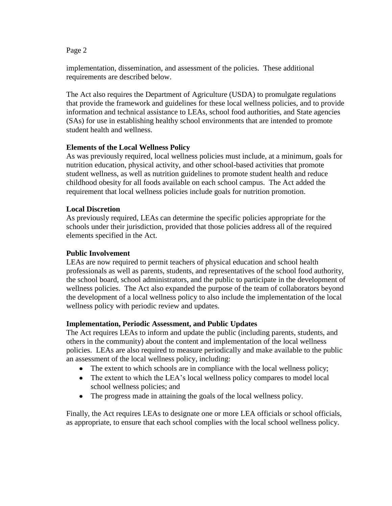Page 2

implementation, dissemination, and assessment of the policies. These additional requirements are described below.

The Act also requires the Department of Agriculture (USDA) to promulgate regulations that provide the framework and guidelines for these local wellness policies, and to provide information and technical assistance to LEAs, school food authorities, and State agencies (SAs) for use in establishing healthy school environments that are intended to promote student health and wellness.

# **Elements of the Local Wellness Policy**

As was previously required, local wellness policies must include, at a minimum, goals for nutrition education, physical activity, and other school-based activities that promote student wellness, as well as nutrition guidelines to promote student health and reduce childhood obesity for all foods available on each school campus. The Act added the requirement that local wellness policies include goals for nutrition promotion.

# **Local Discretion**

As previously required, LEAs can determine the specific policies appropriate for the schools under their jurisdiction, provided that those policies address all of the required elements specified in the Act.

# **Public Involvement**

LEAs are now required to permit teachers of physical education and school health professionals as well as parents, students, and representatives of the school food authority, the school board, school administrators, and the public to participate in the development of wellness policies. The Act also expanded the purpose of the team of collaborators beyond the development of a local wellness policy to also include the implementation of the local wellness policy with periodic review and updates.

# **Implementation, Periodic Assessment, and Public Updates**

The Act requires LEAs to inform and update the public (including parents, students, and others in the community) about the content and implementation of the local wellness policies. LEAs are also required to measure periodically and make available to the public an assessment of the local wellness policy, including:

- The extent to which schools are in compliance with the local wellness policy;
- The extent to which the LEA's local wellness policy compares to model local school wellness policies; and
- The progress made in attaining the goals of the local wellness policy.

Finally, the Act requires LEAs to designate one or more LEA officials or school officials, as appropriate, to ensure that each school complies with the local school wellness policy.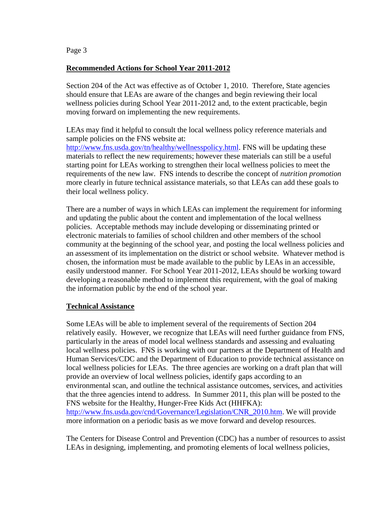Page 3

#### **Recommended Actions for School Year 2011-2012**

Section 204 of the Act was effective as of October 1, 2010. Therefore, State agencies should ensure that LEAs are aware of the changes and begin reviewing their local wellness policies during School Year 2011-2012 and, to the extent practicable, begin moving forward on implementing the new requirements.

LEAs may find it helpful to consult the local wellness policy reference materials and sample policies on the FNS website at:

[http://www.fns.usda.gov/tn/healthy/wellnesspolicy.html.](http://www.fns.usda.gov/tn/healthy/wellnesspolicy.html) FNS will be updating these materials to reflect the new requirements; however these materials can still be a useful starting point for LEAs working to strengthen their local wellness policies to meet the requirements of the new law. FNS intends to describe the concept of *nutrition promotion* more clearly in future technical assistance materials, so that LEAs can add these goals to their local wellness policy.

There are a number of ways in which LEAs can implement the requirement for informing and updating the public about the content and implementation of the local wellness policies. Acceptable methods may include developing or disseminating printed or electronic materials to families of school children and other members of the school community at the beginning of the school year, and posting the local wellness policies and an assessment of its implementation on the district or school website. Whatever method is chosen, the information must be made available to the public by LEAs in an accessible, easily understood manner. For School Year 2011-2012, LEAs should be working toward developing a reasonable method to implement this requirement, with the goal of making the information public by the end of the school year.

#### **Technical Assistance**

Some LEAs will be able to implement several of the requirements of Section 204 relatively easily. However, we recognize that LEAs will need further guidance from FNS, particularly in the areas of model local wellness standards and assessing and evaluating local wellness policies. FNS is working with our partners at the Department of Health and Human Services/CDC and the Department of Education to provide technical assistance on local wellness policies for LEAs. The three agencies are working on a draft plan that will provide an overview of local wellness policies, identify gaps according to an environmental scan, and outline the technical assistance outcomes, services, and activities that the three agencies intend to address. In Summer 2011, this plan will be posted to the FNS website for the Healthy, Hunger-Free Kids Act (HHFKA): [http://www.fns.usda.gov/cnd/Governance/Legislation/CNR\\_2010.htm.](http://www.fns.usda.gov/cnd/Governance/Legislation/CNR_2010.htm) We will provide more information on a periodic basis as we move forward and develop resources.

The Centers for Disease Control and Prevention (CDC) has a number of resources to assist LEAs in designing, implementing, and promoting elements of local wellness policies,